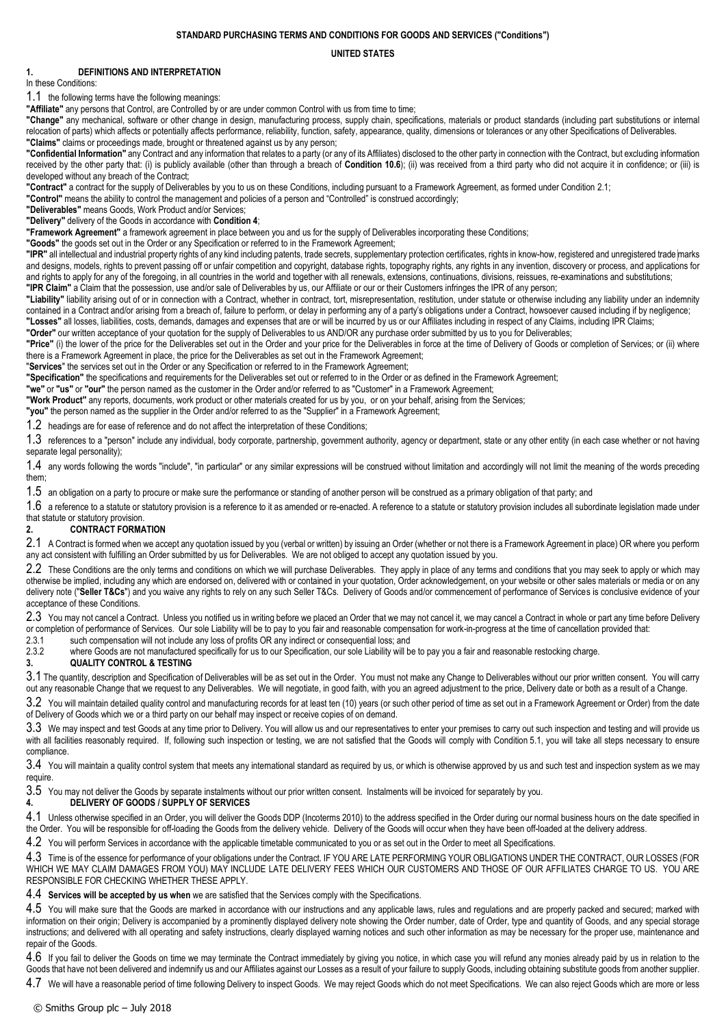#### **STANDARD PURCHASING TERMS AND CONDITIONS FOR GOODS AND SERVICES ("Conditions")**

#### **UNITED STATES**

#### **1. DEFINITIONS AND INTERPRETATION**

#### In these Conditions:

1.1 the following terms have the following meanings:

**"Affiliate"** any persons that Control, are Controlled by or are under common Control with us from time to time;

**"Change"** any mechanical, software or other change in design, manufacturing process, supply chain, specifications, materials or product standards (including part substitutions or internal relocation of parts) which affects or potentially affects performance, reliability, function, safety, appearance, quality, dimensions or tolerances or any other Specifications of Deliverables. **"Claims"** claims or proceedings made, brought or threatened against us by any person;

**"Confidential Information"** any Contract and any information that relates to a party (or any of its Affiliates) disclosed to the other party in connection with the Contract, but excluding information received by the other party that: (i) is publicly available (other than through a breach of **Conditio[n 10.6](#page-2-0)**); (ii) was received from a third party who did not acquire it in confidence; or (iii) is developed without any breach of the Contract;

**"Contract"** a contract for the supply of Deliverables by you to us on these Conditions, including pursuant to a Framework Agreement, as formed under Conditio[n 2.1;](#page-0-0)

**"Control"** means the ability to control the management and policies of a person and "Controlled" is construed accordingly;

**"Deliverables"** means Goods, Work Product and/or Services;

**"Delivery"** delivery of the Goods in accordance with **Condition [4](#page-0-1)**;

**"Framework Agreement"** a framework agreement in place between you and us for the supply of Deliverables incorporating these Conditions;

**"Goods"** the goods set out in the Order or any Specification or referred to in the Framework Agreement;

**"IPR"** all intellectual and industrial property rights of any kind including patents, trade secrets, supplementary protection certificates, rights in know-how, registered and unregistered trade marks and designs, models, rights to prevent passing off or unfair competition and copyright, database rights, topography rights, any rights in any invention, discovery or process, and applications for and rights to apply for any of the foregoing, in all countries in the world and together with all renewals, extensions, continuations, divisions, reissues, re-examinations and substitutions; **"IPR Claim"** a Claim that the possession, use and/or sale of Deliverables by us, our Affiliate or our or their Customers infringes the IPR of any person;

"Liability" liability arising out of or in connection with a Contract, whether in contract, tort, misrepresentation, restitution, under statute or otherwise including any liability under an indemnity contained in a Contract and/or arising from a breach of, failure to perform, or delay in performing any of a party's obligations under a Contract, howsoever caused including if by negligence; **"Losses"** all losses, liabilities, costs, demands, damages and expenses that are or will be incurred by us or our Affiliates including in respect of any Claims, including IPR Claims;

**"Order"** our written acceptance of your quotation for the supply of Deliverables to us AND/OR any purchase order submitted by us to you for Deliverables;

**"Price"** (i) the lower of the price for the Deliverables set out in the Order and your price for the Deliverables in force at the time of Delivery of Goods or completion of Services; or (ii) where there is a Framework Agreement in place, the price for the Deliverables as set out in the Framework Agreement;

"**Services**" the services set out in the Order or any Specification or referred to in the Framework Agreement;

**"Specification"** the specifications and requirements for the Deliverables set out or referred to in the Order or as defined in the Framework Agreement;

**"we"** or **"us"** or **"our"** the person named as the customer in the Order and/or referred to as "Customer" in a Framework Agreement;

**"Work Product"** any reports, documents, work product or other materials created for us by you, or on your behalf, arising from the Services;

**"you"** the person named as the supplier in the Order and/or referred to as the "Supplier" in a Framework Agreement;

1.2 headings are for ease of reference and do not affect the interpretation of these Conditions;

1.3 references to a "person" include any individual, body corporate, partnership, government authority, agency or department, state or any other entity (in each case whether or not having separate legal personality);

1.4 any words following the words "include", "in particular" or any similar expressions will be construed without limitation and accordingly will not limit the meaning of the words preceding them;

1.5 an obligation on a party to procure or make sure the performance or standing of another person will be construed as a primary obligation of that party; and

1.6 a reference to a statute or statutory provision is a reference to it as amended or re-enacted. A reference to a statute or statutory provision includes all subordinate legislation made under that statute or statutory provision.

#### **2. CONTRACT FORMATION**

<span id="page-0-0"></span>2.1 A Contract is formed when we accept any quotation issued by you (verbal or written) by issuing an Order (whether or not there is a Framework Agreement in place) OR where you perform any act consistent with fulfilling an Order submitted by us for Deliverables. We are not obliged to accept any quotation issued by you.

2.2 These Conditions are the only terms and conditions on which we will purchase Deliverables. They apply in place of any terms and conditions that you may seek to apply or which may otherwise be implied, including any which are endorsed on, delivered with or contained in your quotation, Order acknowledgement, on your website or other sales materials or media or on any delivery note ("**Seller T&Cs**") and you waive any rights to rely on any such Seller T&Cs. Delivery of Goods and/or commencement of performance of Services is conclusive evidence of your acceptance of these Conditions.

2.3 You may not cancel a Contract. Unless you notified us in writing before we placed an Order that we may not cancel it, we may cancel a Contract in whole or part any time before Delivery or completion of performance of Services. Our sole Liability will be to pay to you fair and reasonable compensation for work-in-progress at the time of cancellation provided that:

2.3.1 such compensation will not include any loss of profits OR any indirect or consequential loss; and<br>2.3.2 where Goods are not manufactured specifically for us to our Specification, our sole Liability will b

where Goods are not manufactured specifically for us to our Specification, our sole Liability will be to pay you a fair and reasonable restocking charge.

## **3. QUALITY CONTROL & TESTING**

3.1 The quantity, description and Specification of Deliverables will be as set out in the Order. You must not make any Change to Deliverables without our prior written consent. You will carry out any reasonable Change that we request to any Deliverables. We will negotiate, in good faith, with you an agreed adjustment to the price, Delivery date or both as a result of a Change.

3.2 You will maintain detailed quality control and manufacturing records for at least ten (10) years (or such other period of time as set out in a Framework Agreement or Order) from the date of Delivery of Goods which we or a third party on our behalf may inspect or receive copies of on demand.

3.3 We may inspect and test Goods at any time prior to Delivery. You will allow us and our representatives to enter your premises to carry out such inspection and testing and will provide us with all facilities reasonably required. If, following such inspection or testing, we are not satisfied that the Goods will comply with Condition [5.1,](#page-1-0) you will take all steps necessary to ensure compliance.

3.4 You will maintain a quality control system that meets any international standard as required by us, or which is otherwise approved by us and such test and inspection system as we may require.

3.5 You may not deliver the Goods by separate instalments without our prior written consent. Instalments will be invoiced for separately by you.

### <span id="page-0-1"></span>**4. DELIVERY OF GOODS / SUPPLY OF SERVICES**

4.1 Unless otherwise specified in an Order, you will deliver the Goods DDP (Incoterms 2010) to the address specified in the Order during our normal business hours on the date specified in the Order. You will be responsible for off-loading the Goods from the delivery vehicle. Delivery of the Goods will occur when they have been off-loaded at the delivery address.

4.2 You will perform Services in accordance with the applicable timetable communicated to you or as set out in the Order to meet all Specifications.

4.3 Time is of the essence for performance of your obligations under the Contract. IF YOU ARE LATE PERFORMING YOUR OBLIGATIONS UNDER THE CONTRACT, OUR LOSSES (FOR WHICH WE MAY CLAIM DAMAGES FROM YOU) MAY INCLUDE LATE DELIVERY FEES WHICH OUR CUSTOMERS AND THOSE OF OUR AFFILIATES CHARGE TO US. YOU ARE RESPONSIBLE FOR CHECKING WHETHER THESE APPLY.

4.4 **Services will be accepted by us when** we are satisfied that the Services comply with the Specifications.

4.5 You will make sure that the Goods are marked in accordance with our instructions and any applicable laws, rules and regulations and are properly packed and secured; marked with information on their origin; Delivery is accompanied by a prominently displayed delivery note showing the Order number, date of Order, type and quantity of Goods, and any special storage instructions; and delivered with all operating and safety instructions, clearly displayed warning notices and such other information as may be necessary for the proper use, maintenance and repair of the Goods.

4.6 If you fail to deliver the Goods on time we may terminate the Contract immediately by giving you notice, in which case you will refund any monies already paid by us in relation to the Goods that have not been delivered and indemnify us and our Affiliates against our Losses as a result of your failure to supply Goods, including obtaining substitute goods from another supplier.

4.7 We will have a reasonable period of time following Delivery to inspect Goods. We may reject Goods which do not meet Specifications. We can also reject Goods which are more or less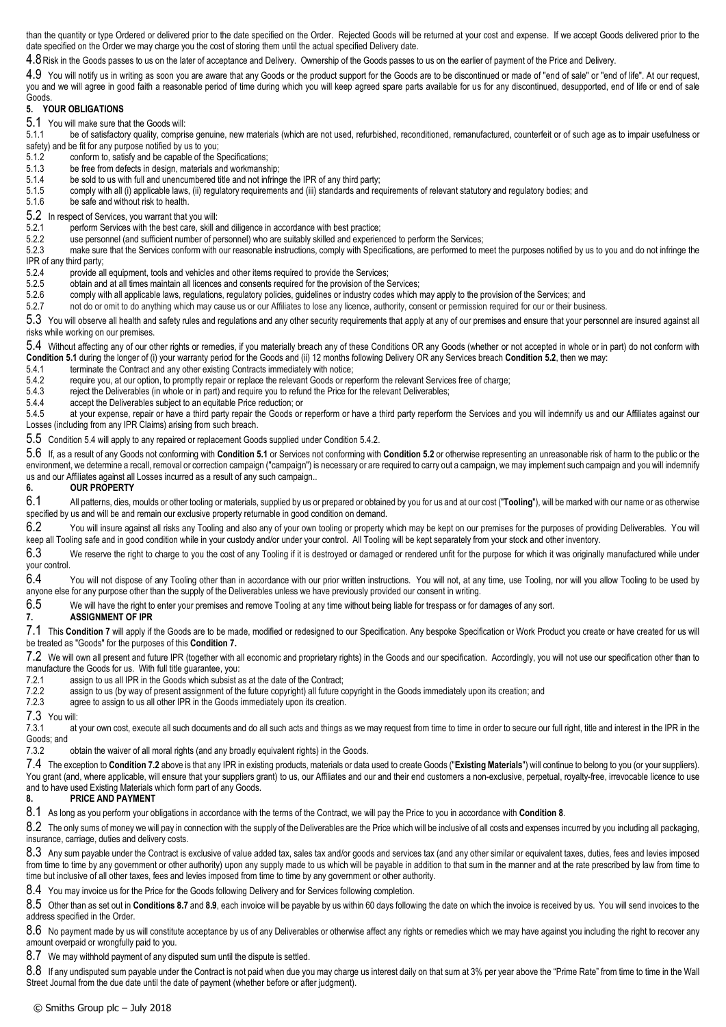than the quantity or type Ordered or delivered prior to the date specified on the Order. Rejected Goods will be returned at your cost and expense. If we accept Goods delivered prior to the date specified on the Order we may charge you the cost of storing them until the actual specified Delivery date.

4.8Risk in the Goods passes to us on the later of acceptance and Delivery. Ownership of the Goods passes to us on the earlier of payment of the Price and Delivery.

4.9 You will notify us in writing as soon you are aware that any Goods or the product support for the Goods are to be discontinued or made of "end of sale" or "end of life". At our request, you and we will agree in good faith a reasonable period of time during which you will keep agreed spare parts available for us for any discontinued, desupported, end of life or end of sale Goods.

**5. YOUR OBLIGATIONS**

<span id="page-1-0"></span>5.1 You will make sure that the Goods will:

5.1.1 be of satisfactory quality, comprise genuine, new materials (which are not used, refurbished, reconditioned, remanufactured, counterfeit or of such age as to impair usefulness or safety) and be fit for any purpose notified by us to you;

- 5.1.2 conform to, satisfy and be capable of the Specifications;<br>5.1.3 be free from defects in design, materials and workmans
- be free from defects in design, materials and workmanship;
- 5.1.4 be sold to us with full and unencumbered title and not infringe the IPR of any third party;
- 5.1.5 comply with all (i) applicable laws, (ii) regulatory requirements and (iii) standards and requirements of relevant statutory and regulatory bodies; and
- 5.1.6 be safe and without risk to health.

<span id="page-1-1"></span>5.2 In respect of Services, you warrant that you will:

- 5.2.1 perform Services with the best care, skill and diligence in accordance with best practice;
- 5.2.2 use personnel (and sufficient number of personnel) who are suitably skilled and experienced to perform the Services;<br>5.2.3 make sure that the Services conform with our reasonable instructions, comply with Specificati
- make sure that the Services conform with our reasonable instructions, comply with Specifications, are performed to meet the purposes notified by us to you and do not infringe the

IPR of any third party;

- 5.2.4 provide all equipment, tools and vehicles and other items required to provide the Services;
- 5.2.5 obtain and at all times maintain all licences and consents required for the provision of the Services;<br>5.2.6 comply with all applicable laws, requiations, requiatory policies, quidelines or industry codes which i
- comply with all applicable laws, regulations, regulatory policies, guidelines or industry codes which may apply to the provision of the Services; and
- 5.2.7 not do or omit to do anything which may cause us or our Affiliates to lose any licence, authority, consent or permission required for our or their business.

5.3 You will observe all health and safety rules and regulations and any other security requirements that apply at any of our premises and ensure that your personnel are insured against all risks while working on our premises.

<span id="page-1-2"></span>5.4 Without affecting any of our other rights or remedies, if you materially breach any of these Conditions OR any Goods (whether or not accepted in whole or in part) do not conform with **Conditio[n 5.1](#page-1-0)** during the longer of (i) your warranty period for the Goods and (ii) 12 months following Delivery OR any Services breach **Conditio[n 5.2](#page-1-1)**, then we may:

- 5.4.1 terminate the Contract and any other existing Contracts immediately with notice;<br>5.4.2 require you, at our option, to promptly repair or replace the relevant Goods or rep
- <span id="page-1-3"></span>require you, at our option, to promptly repair or replace the relevant Goods or reperform the relevant Services free of charge;

5.4.3 reject the Deliverables (in whole or in part) and require you to refund the Price for the relevant Deliverables;

5.4.4 accept the Deliverables subject to an equitable Price reduction; or 5.4.5 at your expense, repair or have a third party repair the Goods or

at your expense, repair or have a third party repair the Goods or reperform or have a third party reperform the Services and you will indemnify us and our Affiliates against our Losses (including from any IPR Claims) arising from such breach.

5.5 Conditio[n 5.4](#page-1-2) will apply to any repaired or replacement Goods supplied under Conditio[n 5.4.2.](#page-1-3)

5.6 If, as a result of any Goods not conforming with **Conditio[n 5.1](#page-1-0)** or Services not conforming with **Conditio[n 5.2](#page-1-1)** or otherwise representing an unreasonable risk of harm to the public or the environment, we determine a recall, removal or correction campaign ("campaign") is necessary or are required to carry out a campaign, we may implement such campaign and you will indemnify us and our Affiliates against all Losses incurred as a result of any such campaign..

#### **6. OUR PROPERTY**

6.1 All patterns, dies, moulds or other tooling or materials, supplied by us or prepared or obtained by you for us and at our cost ("**Tooling**"), will be marked with our name or as otherwise specified by us and will be and remain our exclusive property returnable in good condition on demand.

6.2 You will insure against all risks any Tooling and also any of your own tooling or property which may be kept on our premises for the purposes of providing Deliverables. You will keep all Tooling safe and in good condition while in your custody and/or under your control. All Tooling will be kept separately from your stock and other inventory.

6.3 We reserve the right to charge to you the cost of any Tooling if it is destroyed or damaged or rendered unfit for the purpose for which it was originally manufactured while under your control.

6.4 You will not dispose of any Tooling other than in accordance with our prior written instructions. You will not, at any time, use Tooling, nor will you allow Tooling to be used by anyone else for any purpose other than the supply of the Deliverables unless we have previously provided our consent in writing.

6.5 We will have the right to enter your premises and remove Tooling at any time without being liable for trespass or for damages of any sort.<br>ASSIGNMENT OF IPR

#### <span id="page-1-4"></span>**7. ASSIGNMENT OF IPR**

7.1 This **Conditio[n 7](#page-1-4)** will apply if the Goods are to be made, modified or redesigned to our Specification. Any bespoke Specification or Work Product you create or have created for us will be treated as "Goods" for the purposes of this **Conditio[n 7.](#page-1-4)**

<span id="page-1-5"></span>7.2 We will own all present and future IPR (together with all economic and proprietary rights) in the Goods and our specification. Accordingly, you will not use our specification other than to manufacture the Goods for us. With full title guarantee, you:

7.2.1 assign to us all IPR in the Goods which subsist as at the date of the Contract;<br>7.2.2 assign to us (by way of present assignment of the future convright) all future c

7.2.2 assign to us (by way of present assignment of the future copyright) all future copyright in the Goods immediately upon its creation; and<br>7.2.3 agree to assign to us all other IPR in the Goods immediately upon its cre

agree to assign to us all other IPR in the Goods immediately upon its creation.

**7.3** You will

at your own cost, execute all such documents and do all such acts and things as we may request from time to time in order to secure our full right, title and interest in the IPR in the Goods; and

7.3.2 obtain the waiver of all moral rights (and any broadly equivalent rights) in the Goods.

7.4 The exception to **Condition [7.2](#page-1-5)** above is that any IPR in existing products, materials or data used to create Goods ("**Existing Materials**") will continue to belong to you (or your suppliers). You grant (and, where applicable, will ensure that your suppliers grant) to us, our Affiliates and our and their end customers a non-exclusive, perpetual, royalty-free, irrevocable licence to use and to have used Existing Materials which form part of any Goods.

# <span id="page-1-6"></span>**8. PRICE AND PAYMENT**

8.1 As long as you perform your obligations in accordance with the terms of the Contract, we will pay the Price to you in accordance with **Conditio[n 8](#page-1-6)**.

8.2 The only sums of money we will pay in connection with the supply of the Deliverables are the Price which will be inclusive of all costs and expenses incurred by you including all packaging, insurance, carriage, duties and delivery costs.

8.3 Any sum payable under the Contract is exclusive of value added tax, sales tax and/or goods and services tax (and any other similar or equivalent taxes, duties, fees and levies imposed from time to time by any government or other authority) upon any supply made to us which will be payable in addition to that sum in the manner and at the rate prescribed by law from time to time but inclusive of all other taxes, fees and levies imposed from time to time by any government or other authority.

8.4 You may invoice us for the Price for the Goods following Delivery and for Services following completion.

8.5 Other than as set out in **Condition[s 8.7](#page-1-7)** and **[8.9](#page-2-1)**, each invoice will be payable by us within 60 days following the date on which the invoice is received by us. You will send invoices to the address specified in the Order.

8.6 No payment made by us will constitute acceptance by us of any Deliverables or otherwise affect any rights or remedies which we may have against you including the right to recover any amount overpaid or wrongfully paid to you.

<span id="page-1-7"></span>8.7 We may withhold payment of any disputed sum until the dispute is settled.

8.8 If any undisputed sum payable under the Contract is not paid when due you may charge us interest daily on that sum at 3% per year above the "Prime Rate" from time to time in the Wall Street Journal from the due date until the date of payment (whether before or after judgment).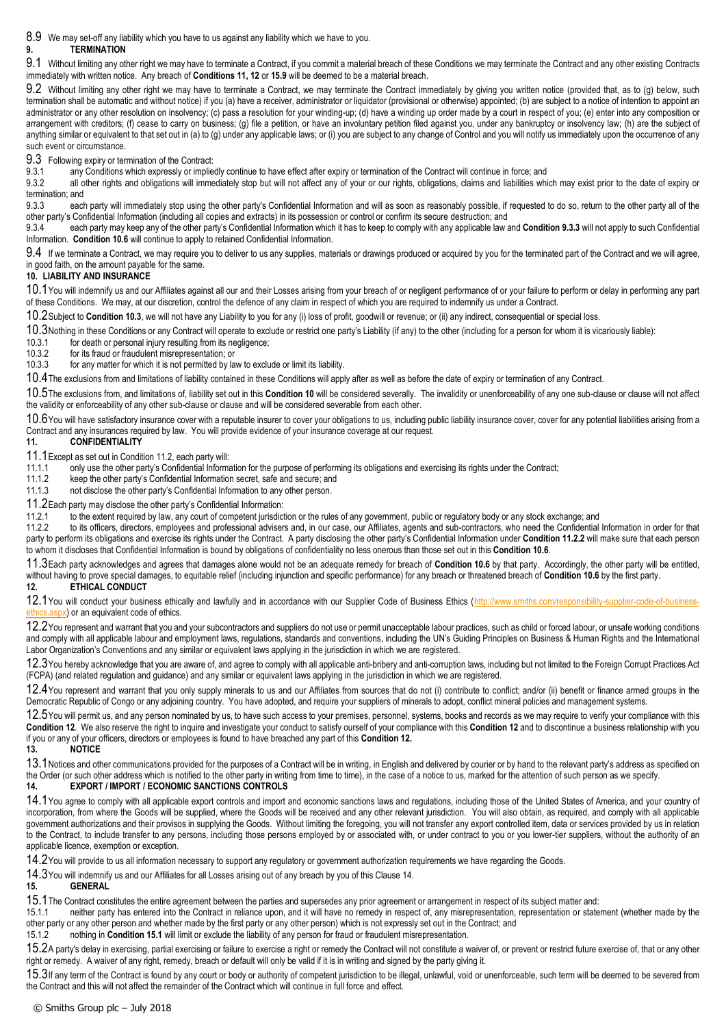<span id="page-2-1"></span>8.9 We may set-off any liability which you have to us against any liability which we have to you.

# **9. TERMINATION**

9.1 Without limiting any other right we may have to terminate a Contract, if you commit a material breach of these Conditions we may terminate the Contract and any other existing Contracts immediately with written notice. Any breach of **Conditions 11, 12** or **[15.9](#page-3-0)** will be deemed to be a material breach.

9.2 Without limiting any other right we may have to terminate a Contract, we may terminate the Contract immediately by giving you written notice (provided that, as to (g) below, such termination shall be automatic and without notice) if you (a) have a receiver, administrator or liquidator (provisional or otherwise) appointed; (b) are subject to a notice of intention to appoint an administrator or any other resolution on insolvency; (c) pass a resolution for your winding-up; (d) have a winding up order made by a court in respect of you; (e) enter into any composition or arrangement with creditors; (f) cease to carry on business; (g) file a petition, or have an involuntary petition filed against you, under any bankruptcy or insolvency law; (h) are the subject of anything similar or equivalent to that set out in (a) to (g) under any applicable laws; or (i) you are subject to any change of Control and you will notify us immediately upon the occurrence of any such event or circumstance.

9.3 Following expiry or termination of the Contract:<br>9.3.1 any Conditions which expressly or implie

9.3.1 any Conditions which expressly or impliedly continue to have effect after expiry or termination of the Contract will continue in force; and<br>9.3.2 all other rights and obligations will immediately stop but will not af

all other rights and obligations will immediately stop but will not affect any of your or our rights, obligations, claims and liabilities which may exist prior to the date of expiry or

<span id="page-2-2"></span>termination; and<br>9.3.3 each each party will immediately stop using the other party's Confidential Information and will as soon as reasonably possible, if requested to do so, return to the other party all of the other party's Confidential Information (including all copies and extracts) in its possession or control or confirm its secure destruction; and

9.3.4 each party may keep any of the other party's Confidential Information which it has to keep to comply with any applicable law and **Condition [9.3.3](#page-2-2)** will not apply to such Confidential Information. **Conditio[n 10.6](#page-2-0)** will continue to apply to retained Confidential Information.

9.4 If we terminate a Contract, we may require you to deliver to us any supplies, materials or drawings produced or acquired by you for the terminated part of the Contract and we will agree, in good faith, on the amount payable for the same.

# <span id="page-2-4"></span>**10. LIABILITY AND INSURANCE**

10.1You will indemnify us and our Affiliates against all our and their Losses arising from your breach of or negligent performance of or your failure to perform or delay in performing any part of these Conditions. We may, at our discretion, control the defence of any claim in respect of which you are required to indemnify us under a Contract.

10.2Subject to **Conditio[n 10.3](#page-2-3)**, we will not have any Liability to you for any (i) loss of profit, goodwill or revenue; or (ii) any indirect, consequential or special loss.

<span id="page-2-3"></span>10.3Nothing in these Conditions or any Contract will operate to exclude or restrict one party's Liability (if any) to the other (including for a person for whom it is vicariously liable):<br>10.3.1 for death or personal injur

10.3.1 for death or personal injury resulting from its negligence;<br>10.3.2 for its fraud or fraudulent misrepresentation: or

10.3.2 for its fraud or fraudulent misrepresentation; or 10.3.3 for any matter for which it is not permitted by la

for any matter for which it is not permitted by law to exclude or limit its liability.

10.4 The exclusions from and limitations of liability contained in these Conditions will apply after as well as before the date of expiry or termination of any Contract.

10.5The exclusions from, and limitations of, liability set out in this **Condition [10](#page-2-4)** will be considered severally. The invalidity or unenforceability of any one sub-clause or clause will not affect the validity or enforceability of any other sub-clause or clause and will be considered severable from each other.

<span id="page-2-0"></span>10.6You will have satisfactory insurance cover with a reputable insurer to cover your obligations to us, including public liability insurance cover, cover for any potential liabilities arising from a Contract and any insurances required by law. You will provide evidence of your insurance coverage at our request.<br>11 CONFIDENTIAL ITY

# **11. CONFIDENTIALITY**

11.1Except as set out in Conditio[n 11.2,](#page-2-5) each party will:<br>11.1.1 only use the other party's Confidential Informa

11.1.1 only use the other party's Confidential Information for the purpose of performing its obligations and exercising its rights under the Contract;

11.1.2 keep the other party's Confidential Information secret, safe and secure; and<br>11.1.3 not disclose the other party's Confidential Information to any other person.

not disclose the other party's Confidential Information to any other person.

<span id="page-2-5"></span>11.2Each party may disclose the other party's Confidential Information:<br>11.2.1 to the extent required by law, any court of competent iurisdictive

11.2.1 to the extent required by law, any court of competent jurisdiction or the rules of any government, public or regulatory body or any stock exchange; and<br>11.2.2 to its officers, directors, employees and professional a

<span id="page-2-6"></span>to its officers, directors, employees and professional advisers and, in our case, our Affiliates, agents and sub-contractors, who need the Confidential Information in order for that party to perform its obligations and exercise its rights under the Contract. A party disclosing the other party's Confidential Information under **Conditio[n 11.2.2](#page-2-6)** will make sure that each person to whom it discloses that Confidential Information is bound by obligations of confidentiality no less onerous than those set out in this **Conditio[n 10.6](#page-2-0)**.

11.3Each party acknowledges and agrees that damages alone would not be an adequate remedy for breach of **Condition [10.6](#page-2-0)** by that party. Accordingly, the other party will be entitled, without having to prove special damages, to equitable relief (including injunction and specific performance) for any breach or threatened breach of **Conditio[n 10.6](#page-2-0)** by the first party.<br>12<br>**12** 

# <span id="page-2-7"></span>**12. ETHICAL CONDUCT**

12.1You will conduct your business ethically and lawfully and in accordance with our Supplier Code of Business Ethics [\(http://www.smiths.com/responsibility-supplier-code-of-business](http://www.smiths.com/responsibility-supplier-code-of-business-ethics.aspx)spx) or an equivalent code of ethics.

12.2You represent and warrant that you and your subcontractors and suppliers do not use or permit unacceptable labour practices, such as child or forced labour, or unsafe working conditions and comply with all applicable labour and employment laws, regulations, standards and conventions, including the UN's Guiding Principles on Business & Human Rights and the International Labor Organization's Conventions and any similar or equivalent laws applying in the jurisdiction in which we are registered.

12.3You hereby acknowledge that you are aware of, and agree to comply with all applicable anti-bribery and anti-corruption laws, including but not limited to the Foreign Corrupt Practices Act (FCPA) (and related regulation and guidance) and any similar or equivalent laws applying in the jurisdiction in which we are registered.

12.4You represent and warrant that you only supply minerals to us and our Affiliates from sources that do not (i) contribute to conflict; and/or (ii) benefit or finance armed groups in the Democratic Republic of Congo or any adjoining country. You have adopted, and require your suppliers of minerals to adopt, conflict mineral policies and management systems.

12.5You will permit us, and any person nominated by us, to have such access to your premises, personnel, systems, books and records as we may require to verify your compliance with this **Condition [12](#page-2-7)**. We also reserve the right to inquire and investigate your conduct to satisfy ourself of your compliance with this **Conditio[n 12](#page-2-7)** and to discontinue a business relationship with you if you or any of your officers, directors or employees is found to have breached any part of this **Conditio[n 12.](#page-2-7)**

**13. NOTICE**

13.1Notices and other communications provided for the purposes of a Contract will be in writing, in English and delivered by courier or by hand to the relevant party's address as specified on the Order (or such other address which is notified to the other party in writing from time to time), in the case of a notice to us, marked for the attention of such person as we specify.

## <span id="page-2-8"></span>**14. EXPORT / IMPORT / ECONOMIC SANCTIONS CONTROLS**

14.1You agree to comply with all applicable export controls and import and economic sanctions laws and regulations, including those of the United States of America, and your country of incorporation, from where the Goods will be supplied, where the Goods will be received and any other relevant jurisdiction. You will also obtain, as required, and comply with all applicable government authorizations and their provisos in supplying the Goods. Without limiting the foregoing, you will not transfer any export controlled item, data or services provided by us in relation to the Contract, to include transfer to any persons, including those persons employed by or associated with, or under contract to you or you lower-tier suppliers, without the authority of an applicable licence, exemption or exception.

14.2You will provide to us all information necessary to support any regulatory or government authorization requirements we have regarding the Goods.

14.3You will indemnify us and our Affiliates for all Losses arising out of any breach by you of this Claus[e 14.](#page-2-8)<br>15. GENERAL

# **15. GENERAL**

<span id="page-2-9"></span>15.1The Contract constitutes the entire agreement between the parties and supersedes any prior agreement or arrangement in respect of its subject matter and:<br>15.1.1 per party has entered into the Contract in reliance upon,

neither party has entered into the Contract in reliance upon, and it will have no remedy in respect of, any misrepresentation, representation or statement (whether made by the other party or any other person and whether made by the first party or any other person) which is not expressly set out in the Contract; and

15.1.2 nothing in **Conditio[n 15.1](#page-2-9)** will limit or exclude the liability of any person for fraud or fraudulent misrepresentation.

15.2A party's delay in exercising, partial exercising or failure to exercise a right or remedy the Contract will not constitute a waiver of, or prevent or restrict future exercise of, that or any other right or remedy. A waiver of any right, remedy, breach or default will only be valid if it is in writing and signed by the party giving it.

15.3If any term of the Contract is found by any court or body or authority of competent jurisdiction to be illegal, unlawful, void or unenforceable, such term will be deemed to be severed from the Contract and this will not affect the remainder of the Contract which will continue in full force and effect.